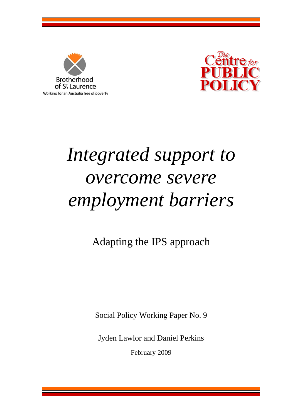



# *Integrated support to overcome severe employment barriers*

Adapting the IPS approach

Social Policy Working Paper No. 9

Jyden Lawlor and Daniel Perkins

February 2009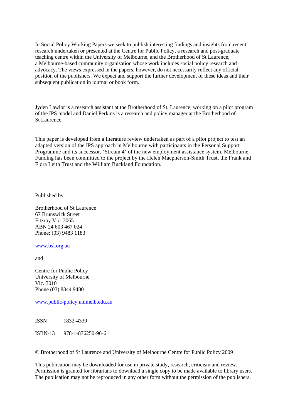In Social Policy Working Papers we seek to publish interesting findings and insights from recent research undertaken or presented at the Centre for Public Policy, a research and post-graduate teaching centre within the University of Melbourne, and the Brotherhood of St Laurence, a Melbourne-based community organisation whose work includes social policy research and advocacy. The views expressed in the papers, however, do not necessarily reflect any official position of the publishers. We expect and support the further development of these ideas and their subsequent publication in journal or book form.

Jyden Lawlor is a research assistant at the Brotherhood of St. Laurence, working on a pilot program of the IPS model and Daniel Perkins is a research and policy manager at the Brotherhood of St Laurence.

This paper is developed from a literature review undertaken as part of a pilot project to test an adapted version of the IPS approach in Melbourne with participants in the Personal Support Programme and its successor, 'Stream 4' of the new employment assistance system. Melbourne. Funding has been committed to the project by the Helen Macpherson-Smith Trust, the Frank and Flora Leith Trust and the William Buckland Foundation.

Published by

Brotherhood of St Laurence 67 Brunswick Street Fitzroy Vic. 3065 ABN 24 603 467 024 Phone: (03) 9483 1183

www.bsl.org.au

and

Centre for Public Policy University of Melbourne Vic. 3010 Phone (03) 8344 9480

www.public-policy.unimelb.edu.au

ISSN 1832-4339

ISBN-13 978-1-876250-96-6

© Brotherhood of St Laurence and University of Melbourne Centre for Public Policy 2009

This publication may be downloaded for use in private study, research, criticism and review. Permission is granted for librarians to download a single copy to be made available to library users. The publication may not be reproduced in any other form without the permission of the publishers.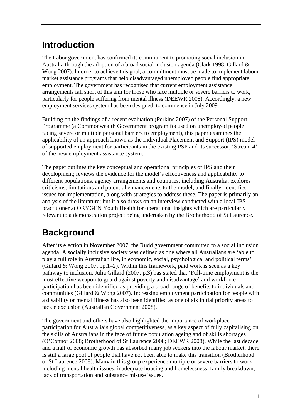# **Introduction**

The Labor government has confirmed its commitment to promoting social inclusion in Australia through the adoption of a broad social inclusion agenda (Clark 1998; Gillard & Wong 2007). In order to achieve this goal, a commitment must be made to implement labour market assistance programs that help disadvantaged unemployed people find appropriate employment. The government has recognised that current employment assistance arrangements fall short of this aim for those who face multiple or severe barriers to work, particularly for people suffering from mental illness (DEEWR 2008). Accordingly, a new employment services system has been designed, to commence in July 2009.

Building on the findings of a recent evaluation (Perkins 2007) of the Personal Support Programme (a Commonwealth Government program focused on unemployed people facing severe or multiple personal barriers to employment), this paper examines the applicability of an approach known as the Individual Placement and Support (IPS) model of supported employment for participants in the existing PSP and its successor, 'Stream 4' of the new employment assistance system.

The paper outlines the key conceptual and operational principles of IPS and their development; reviews the evidence for the model's effectiveness and applicability to different populations, agency arrangements and countries, including Australia; explores criticisms, limitations and potential enhancements to the model; and finally, identifies issues for implementation, along with strategies to address these. The paper is primarily an analysis of the literature; but it also draws on an interview conducted with a local IPS practitioner at ORYGEN Youth Health for operational insights which are particularly relevant to a demonstration project being undertaken by the Brotherhood of St Laurence.

# **Background**

After its election in November 2007, the Rudd government committed to a social inclusion agenda. A socially inclusive society was defined as one where all Australians are 'able to play a full role in Australian life, in economic, social, psychological and political terms' (Gillard & Wong 2007, pp. 1–2). Within this framework, paid work is seen as a key pathway to inclusion. Julia Gillard (2007, p.3) has stated that 'Full-time employment is the most effective weapon to guard against poverty and disadvantage' and workforce participation has been identified as providing a broad range of benefits to individuals and communities (Gillard & Wong 2007). Increasing employment participation for people with a disability or mental illness has also been identified as one of six initial priority areas to tackle exclusion (Australian Government 2008).

The government and others have also highlighted the importance of workplace participation for Australia's global competitiveness, as a key aspect of fully capitalising on the skills of Australians in the face of future population ageing and of skills shortages (O'Connor 2008; Brotherhood of St Laurence 2008; DEEWR 2008). While the last decade and a half of economic growth has absorbed many job seekers into the labour market, there is still a large pool of people that have not been able to make this transition (Brotherhood of St Laurence 2008). Many in this group experience multiple or severe barriers to work, including mental health issues, inadequate housing and homelessness, family breakdown, lack of transportation and substance misuse issues.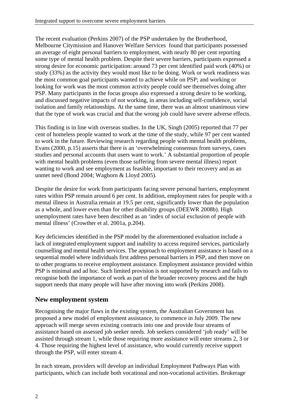The recent evaluation (Perkins 2007) of the PSP undertaken by the Brotherhood, Melbourne Citymission and Hanover Welfare Services found that participants possessed an average of eight personal barriers to employment, with nearly 80 per cent reporting some type of mental health problem. Despite their severe barriers, participants expressed a strong desire for economic participation: around 73 per cent identified paid work (40%) or study (33%) as the activity they would most like to be doing. Work or work readiness was the most common goal participants wanted to achieve while on PSP; and working or looking for work was the most common activity people could see themselves doing after PSP. Many participants in the focus groups also expressed a strong desire to be working, and discussed negative impacts of not working, in areas including self-confidence, social isolation and family relationships. At the same time, there was an almost unanimous view that the type of work was crucial and that the wrong job could have severe adverse effects.

This finding is in line with overseas studies. In the UK, Singh (2005) reported that 77 per cent of homeless people wanted to work at the time of the study, while 97 per cent wanted to work in the future. Reviewing research regarding people with mental health problems, Evans (2000, p.15) asserts that there is an 'overwhelming consensus from surveys, cases studies and personal accounts that users want to work.' A substantial proportion of people with mental health problems (even those suffering from severe mental illness) report wanting to work and see employment as feasible, important to their recovery and as an unmet need (Bond 2004; Waghorn & Lloyd 2005).

Despite the desire for work from participants facing severe personal barriers, employment rates within PSP remain around 6 per cent. In addition, employment rates for people with a mental illness in Australia remain at 19.5 per cent, significantly lower than the population as a whole, and lower even than for other disability groups (DEEWR 2008b). High unemployment rates have been described as an 'index of social exclusion of people with mental illness' (Crowther et al. 2001a, p.204).

Key deficiencies identified in the PSP model by the aforementioned evaluation include a lack of integrated employment support and inability to access required services, particularly counselling and mental health services. The approach to employment assistance is based on a sequential model where individuals first address personal barriers in PSP, and then move on to other programs to receive employment assistance. Employment assistance provided within PSP is minimal and ad hoc. Such limited provision is not supported by research and fails to recognise both the importance of work as part of the broader recovery process and the high support needs that many people will have after moving into work (Perkins 2008).

### **New employment system**

Recognising the major flaws in the existing system, the Australian Government has proposed a new model of employment assistance, to commence in July 2009. The new approach will merge seven existing contracts into one and provide four streams of assistance based on assessed job seeker needs. Job seekers considered 'job ready' will be assisted through stream 1, while those requiring more assistance will enter streams 2, 3 or 4. Those requiring the highest level of assistance, who would currently receive support through the PSP, will enter stream 4.

In each stream, providers will develop an individual Employment Pathways Plan with participants, which can include both vocational and non-vocational activities. Brokerage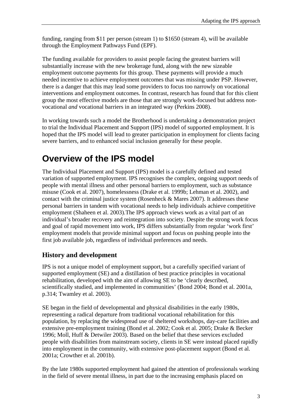funding, ranging from \$11 per person (stream 1) to \$1650 (stream 4), will be available through the Employment Pathways Fund (EPF).

The funding available for providers to assist people facing the greatest barriers will substantially increase with the new brokerage fund, along with the new sizeable employment outcome payments for this group. These payments will provide a much needed incentive to achieve employment outcomes that was missing under PSP. However, there is a danger that this may lead some providers to focus too narrowly on vocational interventions and employment outcomes. In contrast, research has found that for this client group the most effective models are those that are strongly work-focused but address nonvocational *and* vocational barriers in an integrated way (Perkins 2008).

In working towards such a model the Brotherhood is undertaking a demonstration project to trial the Individual Placement and Support (IPS) model of supported employment. It is hoped that the IPS model will lead to greater participation in employment for clients facing severe barriers, and to enhanced social inclusion generally for these people.

# **Overview of the IPS model**

The Individual Placement and Support (IPS) model is a carefully defined and tested variation of supported employment. IPS recognises the complex, ongoing support needs of people with mental illness and other personal barriers to employment, such as substance misuse (Cook et al. 2007), homelessness (Drake et al. 1999b; Lehman et al. 2002), and contact with the criminal justice system (Rosenheck & Mares 2007). It addresses these personal barriers in tandem with vocational needs to help individuals achieve competitive employment (Shaheen et al. 2003).The IPS approach views work as a vital part of an individual's broader recovery and reintegration into society. Despite the strong work focus and goal of rapid movement into work, IPS differs substantially from regular 'work first' employment models that provide minimal support and focus on pushing people into the first job available job, regardless of individual preferences and needs.

# **History and development**

IPS is not a unique model of employment support, but a carefully specified variant of supported employment (SE) and a distillation of best practice principles in vocational rehabilitation, developed with the aim of allowing SE to be 'clearly described, scientifically studied, and implemented in communities' (Bond 2004; Bond et al. 2001a, p.314; Twamley et al. 2003).

SE began in the field of developmental and physical disabilities in the early 1980s, representing a radical departure from traditional vocational rehabilitation for this population, by replacing the widespread use of sheltered workshops, day-care facilities and extensive pre-employment training (Bond et al. 2002; Cook et al. 2005; Drake & Becker 1996; Moll, Huff & Detwiler 2003). Based on the belief that these services excluded people with disabilities from mainstream society, clients in SE were instead placed rapidly into employment in the community, with extensive post-placement support (Bond et al. 2001a; Crowther et al. 2001b).

By the late 1980s supported employment had gained the attention of professionals working in the field of severe mental illness, in part due to the increasing emphasis placed on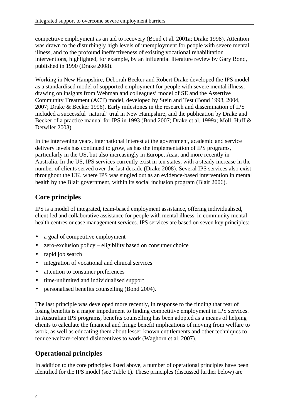competitive employment as an aid to recovery (Bond et al. 2001a; Drake 1998). Attention was drawn to the disturbingly high levels of unemployment for people with severe mental illness, and to the profound ineffectiveness of existing vocational rehabilitation interventions, highlighted, for example, by an influential literature review by Gary Bond, published in 1990 (Drake 2008).

Working in New Hampshire, Deborah Becker and Robert Drake developed the IPS model as a standardised model of supported employment for people with severe mental illness, drawing on insights from Wehman and colleagues' model of SE and the Assertive Community Treatment (ACT) model, developed by Stein and Test (Bond 1998, 2004, 2007; Drake & Becker 1996). Early milestones in the research and dissemination of IPS included a successful 'natural' trial in New Hampshire, and the publication by Drake and Becker of a practice manual for IPS in 1993 (Bond 2007; Drake et al. 1999a; Moll, Huff & Detwiler 2003).

In the intervening years, international interest at the government, academic and service delivery levels has continued to grow, as has the implementation of IPS programs, particularly in the US, but also increasingly in Europe, Asia, and more recently in Australia. In the US, IPS services currently exist in ten states, with a steady increase in the number of clients served over the last decade (Drake 2008). Several IPS services also exist throughout the UK, where IPS was singled out as an evidence-based intervention in mental health by the Blair government, within its social inclusion program (Blair 2006).

# **Core principles**

IPS is a model of integrated, team-based employment assistance, offering individualised, client-led and collaborative assistance for people with mental illness, in community mental health centres or case management services. IPS services are based on seven key principles:

- a goal of competitive employment
- zero-exclusion policy eligibility based on consumer choice
- rapid job search
- integration of vocational and clinical services
- attention to consumer preferences
- time-unlimited and individualised support
- personalised benefits counselling (Bond 2004).

The last principle was developed more recently, in response to the finding that fear of losing benefits is a major impediment to finding competitive employment in IPS services. In Australian IPS programs, benefits counselling has been adopted as a means of helping clients to calculate the financial and fringe benefit implications of moving from welfare to work, as well as educating them about lesser-known entitlements and other techniques to reduce welfare-related disincentives to work (Waghorn et al. 2007).

# **Operational principles**

In addition to the core principles listed above, a number of operational principles have been identified for the IPS model (see Table 1). These principles (discussed further below) are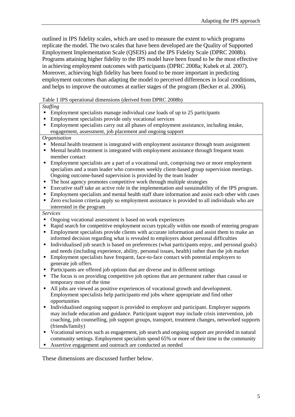outlined in IPS fidelity scales, which are used to measure the extent to which programs replicate the model. The two scales that have been developed are the Quality of Supported Employment Implementation Scale (QSEIS) and the IPS Fidelity Scale (DPRC 2008b). Programs attaining higher fidelity to the IPS model have been found to be the most effective in achieving employment outcomes with participants (DPRC 2008a; Kubek et al. 2007). Moreover, achieving high fidelity has been found to be more important in predicting employment outcomes than adapting the model to perceived differences in local conditions, and helps to improve the outcomes at earlier stages of the program (Becker et al. 2006).

#### Table 1 IPS operational dimensions (derived from DPRC 2008b)

*Staffing* 

- Employment specialists manage individual case loads of up to 25 participants
- **Employment specialists provide only vocational services**
- Employment specialists carry out all phases of employment assistance, including intake, engagement, assessment, job placement and ongoing support

#### *Organisation*

- Mental health treatment is integrated with employment assistance through team assignment
- Mental health treatment is integrated with employment assistance through frequent team member contact
- Employment specialists are a part of a vocational unit, comprising two or more employment specialists and a team leader who convenes weekly client-based group supervision meetings. Ongoing outcome-based supervision is provided by the team leader
- The host agency promotes competitive work through multiple strategies
- Executive staff take an active role in the implementation and sustainability of the IPS program.
- Employment specialists and mental health staff share information and assist each other with cases
- Zero exclusion criteria apply so employment assistance is provided to all individuals who are interested in the program

#### *Services*

- Ongoing vocational assessment is based on work experiences
- Rapid search for competitive employment occurs typically within one month of entering program
- Employment specialists provide clients with accurate information and assist them to make an informed decision regarding what is revealed to employers about personal difficulties
- Individualised job search is based on preferences (what participants enjoy, and personal goals) and needs (including experience, ability, personal issues, health) rather than the job market
- **Employment specialists have frequent, face-to-face contact with potential employers to** generate job offers
- Participants are offered job options that are diverse and in different settings
- The focus is on providing competitive job options that are permanent rather than casual or temporary most of the time
- All jobs are viewed as positive experiences of vocational growth and development. Employment specialists help participants end jobs where appropriate and find other opportunities
- Individualised ongoing support is provided to employer and participant. Employer supports may include education and guidance. Participant support may include crisis intervention, job coaching, job counselling, job support groups, transport, treatment changes, networked supports (friends/family)
- Vocational services such as engagement, job search and ongoing support are provided in natural community settings. Employment specialists spend 65% or more of their time in the community
- Assertive engagement and outreach are conducted as needed

These dimensions are discussed further below.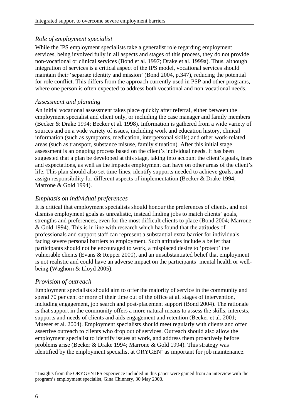#### *Role of employment specialist*

While the IPS employment specialists take a generalist role regarding employment services, being involved fully in all aspects and stages of this process, they do not provide non-vocational or clinical services (Bond et al. 1997; Drake et al. 1999a). Thus, although integration of services is a critical aspect of the IPS model, vocational services should maintain their 'separate identity and mission' (Bond 2004, p.347), reducing the potential for role conflict. This differs from the approach currently used in PSP and other programs, where one person is often expected to address both vocational and non-vocational needs.

#### *Assessment and planning*

An initial vocational assessment takes place quickly after referral, either between the employment specialist and client only, or including the case manager and family members (Becker & Drake 1994; Becker et al. 1998). Information is gathered from a wide variety of sources and on a wide variety of issues, including work and education history, clinical information (such as symptoms, medication, interpersonal skills) and other work-related areas (such as transport, substance misuse, family situation). After this initial stage, assessment is an ongoing process based on the client's individual needs. It has been suggested that a plan be developed at this stage, taking into account the client's goals, fears and expectations, as well as the impacts employment can have on other areas of the client's life. This plan should also set time-lines, identify supports needed to achieve goals, and assign responsibility for different aspects of implementation (Becker & Drake 1994; Marrone & Gold 1994).

#### *Emphasis on individual preferences*

It is critical that employment specialists should honour the preferences of clients, and not dismiss employment goals as unrealistic, instead finding jobs to match clients' goals, strengths and preferences, even for the most difficult clients to place (Bond 2004; Marrone & Gold 1994). This is in line with research which has found that the attitudes of professionals and support staff can represent a substantial extra barrier for individuals facing severe personal barriers to employment. Such attitudes include a belief that participants should not be encouraged to work, a misplaced desire to 'protect' the vulnerable clients (Evans & Repper 2000), and an unsubstantiated belief that employment is not realistic and could have an adverse impact on the participants' mental health or wellbeing (Waghorn & Lloyd 2005).

#### *Provision of outreach*

Employment specialists should aim to offer the majority of service in the community and spend 70 per cent or more of their time out of the office at all stages of intervention, including engagement, job search and post-placement support (Bond 2004). The rationale is that support in the community offers a more natural means to assess the skills, interests, supports and needs of clients and aids engagement and retention (Becker et al. 2001; Mueser et al. 2004). Employment specialists should meet regularly with clients and offer assertive outreach to clients who drop out of services. Outreach should also allow the employment specialist to identify issues at work, and address them proactively before problems arise (Becker & Drake 1994; Marrone & Gold 1994). This strategy was identified by the employment specialist at  $\text{ORYGEN}^1$  as important for job maintenance.

l

<sup>&</sup>lt;sup>1</sup> Insights from the ORYGEN IPS experience included in this paper were gained from an interview with the program's employment specialist, Gina Chinnery, 30 May 2008.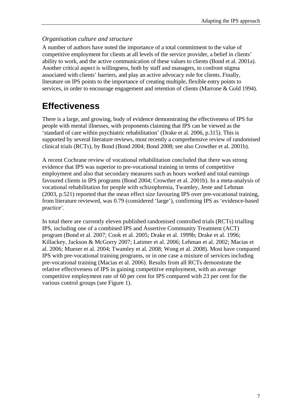#### *Organisation culture and structure*

A number of authors have noted the importance of a total commitment to the value of competitive employment for clients at all levels of the service provider, a belief in clients' ability to work, and the active communication of these values to clients (Bond et al. 2001a). Another critical aspect is willingness, both by staff and managers, to confront stigma associated with clients' barriers, and play an active advocacy role for clients. Finally, literature on IPS points to the importance of creating multiple, flexible entry points to services, in order to encourage engagement and retention of clients (Marrone & Gold 1994).

# **Effectiveness**

There is a large, and growing, body of evidence demonstrating the effectiveness of IPS for people with mental illnesses, with proponents claiming that IPS can be viewed as the 'standard of care within psychiatric rehabilitation' (Drake et al. 2006, p.315). This is supported by several literature reviews, most recently a comprehensive review of randomised clinical trials (RCTs), by Bond (Bond 2004; Bond 2008; see also Crowther et al. 2001b).

A recent Cochrane review of vocational rehabilitation concluded that there was strong evidence that IPS was superior to pre-vocational training in terms of competitive employment and also that secondary measures such as hours worked and total earnings favoured clients in IPS programs (Bond 2004; Crowther et al. 2001b). In a meta-analysis of vocational rehabilitation for people with schizophrenia, Twamley, Jeste and Lehman (2003, p.521) reported that the mean effect size favouring IPS over pre-vocational training, from literature reviewed, was 0.79 (considered 'large'), confirming IPS as 'evidence-based practice'.

In total there are currently eleven published randomised controlled trials (RCTs) trialling IPS, including one of a combined IPS and Assertive Community Treatment (ACT) program (Bond et al. 2007; Cook et al. 2005; Drake et al. 1999b; Drake et al. 1996; Killackey, Jackson & McGorry 2007; Latimer et al. 2006; Lehman et al. 2002; Macias et al. 2006; Mueser et al. 2004; Twamley et al. 2008; Wong et al. 2008). Most have compared IPS with pre-vocational training programs, or in one case a mixture of services including pre-vocational training (Macias et al. 2006). Results from all RCTs demonstrate the relative effectiveness of IPS in gaining competitive employment, with an average competitive employment rate of 60 per cent for IPS compared with 23 per cent for the various control groups (see Figure 1).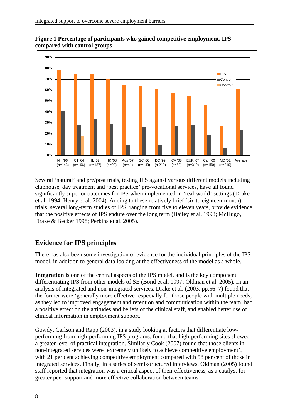

**Figure 1 Percentage of participants who gained competitive employment, IPS compared with control groups** 

Several 'natural' and pre/post trials, testing IPS against various different models including clubhouse, day treatment and 'best practice' pre-vocational services, have all found significantly superior outcomes for IPS when implemented in 'real-world' settings (Drake et al. 1994; Henry et al. 2004). Adding to these relatively brief (six to eighteen-month) trials, several long-term studies of IPS, ranging from five to eleven years, provide evidence that the positive effects of IPS endure over the long term (Bailey et al. 1998; McHugo, Drake & Becker 1998; Perkins et al. 2005).

# **Evidence for IPS principles**

There has also been some investigation of evidence for the individual principles of the IPS model, in addition to general data looking at the effectiveness of the model as a whole.

**Integration** is one of the central aspects of the IPS model, and is the key component differentiating IPS from other models of SE (Bond et al. 1997; Oldman et al. 2005). In an analysis of integrated and non-integrated services, Drake et al. (2003, pp.56–7) found that the former were 'generally more effective' especially for those people with multiple needs, as they led to improved engagement and retention and communication within the team, had a positive effect on the attitudes and beliefs of the clinical staff, and enabled better use of clinical information in employment support.

Gowdy, Carlson and Rapp (2003), in a study looking at factors that differentiate lowperforming from high-performing IPS programs, found that high-performing sites showed a greater level of practical integration. Similarly Cook (2007) found that those clients in non-integrated services were 'extremely unlikely to achieve competitive employment', with 21 per cent achieving competitive employment compared with 58 per cent of those in integrated services. Finally, in a series of semi-structured interviews, Oldman (2005) found staff reported that integration was a critical aspect of their effectiveness, as a catalyst for greater peer support and more effective collaboration between teams.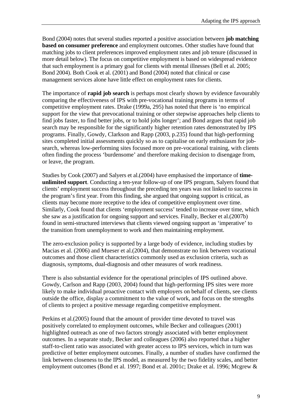Bond (2004) notes that several studies reported a positive association between **job matching based on consumer preference** and employment outcomes. Other studies have found that matching jobs to client preferences improved employment rates and job tenure (discussed in more detail below). The focus on competitive employment is based on widespread evidence that such employment is a primary goal for clients with mental illnesses (Bell et al. 2005; Bond 2004). Both Cook et al. (2001) and Bond (2004) noted that clinical or case management services alone have little effect on employment rates for clients.

The importance of **rapid job search** is perhaps most clearly shown by evidence favourably comparing the effectiveness of IPS with pre-vocational training programs in terms of competitive employment rates. Drake (1999a, 295) has noted that there is 'no empirical support for the view that prevocational training or other stepwise approaches help clients to find jobs faster, to find better jobs, or to hold jobs longer'; and Bond argues that rapid job search may be responsible for the significantly higher retention rates demonstrated by IPS programs. Finally, Gowdy, Clarkson and Rapp (2003, p.235) found that high-performing sites completed initial assessments quickly so as to capitalise on early enthusiasm for jobsearch, whereas low-performing sites focused more on pre-vocational training, with clients often finding the process 'burdensome' and therefore making decision to disengage from, or leave, the program.

Studies by Cook (2007) and Salyers et al.(2004) have emphasised the importance of **timeunlimited support**. Conducting a ten-year follow-up of one IPS program, Salyers found that clients' employment success throughout the preceding ten years was not linked to success in the program's first year. From this finding, she argued that ongoing support is critical, as clients may become more receptive to the idea of competitive employment over time. Similarly, Cook found that clients 'employment success' tended to increase over time, which she saw as a justification for ongoing support and services. Finally, Becker et al.(2007b) found in semi-structured interviews that clients viewed ongoing support as 'imperative' to the transition from unemployment to work and then maintaining employment.

The zero-exclusion policy is supported by a large body of evidence, including studies by Macias et al. (2006) and Mueser et al.(2004), that demonstrate no link between vocational outcomes and those client characteristics commonly used as exclusion criteria, such as diagnosis, symptoms, dual-diagnosis and other measures of work readiness.

There is also substantial evidence for the operational principles of IPS outlined above. Gowdy, Carlson and Rapp (2003, 2004) found that high-performing IPS sites were more likely to make individual proactive contact with employers on behalf of clients, see clients outside the office, display a commitment to the value of work, and focus on the strengths of clients to project a positive message regarding competitive employment.

Perkins et al.(2005) found that the amount of provider time devoted to travel was positively correlated to employment outcomes, while Becker and colleagues (2001) highlighted outreach as one of two factors strongly associated with better employment outcomes. In a separate study, Becker and colleagues (2006) also reported that a higher staff-to-client ratio was associated with greater access to IPS services, which in turn was predictive of better employment outcomes. Finally, a number of studies have confirmed the link between closeness to the IPS model, as measured by the two fidelity scales, and better employment outcomes (Bond et al. 1997; Bond et al. 2001c; Drake et al. 1996; Mcgrew &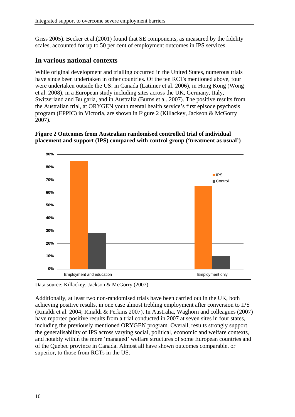Griss 2005). Becker et al.(2001) found that SE components, as measured by the fidelity scales, accounted for up to 50 per cent of employment outcomes in IPS services.

## **In various national contexts**

While original development and trialling occurred in the United States, numerous trials have since been undertaken in other countries. Of the ten RCTs mentioned above, four were undertaken outside the US: in Canada (Latimer et al. 2006), in Hong Kong (Wong et al. 2008), in a European study including sites across the UK, Germany, Italy, Switzerland and Bulgaria, and in Australia (Burns et al. 2007). The positive results from the Australian trial, at ORYGEN youth mental health service's first episode psychosis program (EPPIC) in Victoria, are shown in Figure 2 (Killackey, Jackson & McGorry 2007).



#### **Figure 2 Outcomes from Australian randomised controlled trial of individual placement and support (IPS) compared with control group ('treatment as usual')**

Data source: Killackey, Jackson & McGorry (2007)

Additionally, at least two non-randomised trials have been carried out in the UK, both achieving positive results, in one case almost trebling employment after conversion to IPS (Rinaldi et al. 2004; Rinaldi & Perkins 2007). In Australia, Waghorn and colleagues (2007) have reported positive results from a trial conducted in 2007 at seven sites in four states, including the previously mentioned ORYGEN program. Overall, results strongly support the generalisability of IPS across varying social, political, economic and welfare contexts, and notably within the more 'managed' welfare structures of some European countries and of the Quebec province in Canada. Almost all have shown outcomes comparable, or superior, to those from RCTs in the US.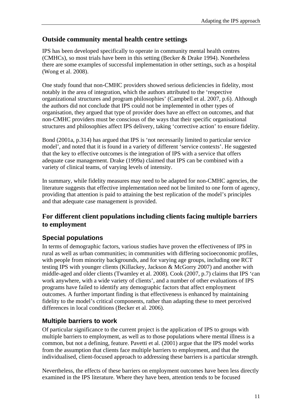# **Outside community mental health centre settings**

IPS has been developed specifically to operate in community mental health centres (CMHCs), so most trials have been in this setting (Becker & Drake 1994). Nonetheless there are some examples of successful implementation in other settings, such as a hospital (Wong et al. 2008).

One study found that non-CMHC providers showed serious deficiencies in fidelity, most notably in the area of integration, which the authors attributed to the 'respective organizational structures and program philosophies' (Campbell et al. 2007, p.6). Although the authors did not conclude that IPS could not be implemented in other types of organisation, they argued that type of provider does have an effect on outcomes, and that non-CMHC providers must be conscious of the ways that their specific organisational structures and philosophies affect IPS delivery, taking 'corrective action' to ensure fidelity.

Bond (2001a, p.314) has argued that IPS is 'not necessarily limited to particular service model', and noted that it is found in a variety of different 'service contexts'. He suggested that the key to effective outcomes is the integration of IPS with a service that offers adequate case management. Drake (1999a) claimed that IPS can be combined with a variety of clinical teams, of varying levels of intensity.

In summary, while fidelity measures may need to be adapted for non-CMHC agencies, the literature suggests that effective implementation need not be limited to one form of agency, providing that attention is paid to attaining the best replication of the model's principles and that adequate case management is provided.

## **For different client populations including clients facing multiple barriers to employment**

# **Special populations**

In terms of demographic factors, various studies have proven the effectiveness of IPS in rural as well as urban communities; in communities with differing socioeconomic profiles, with people from minority backgrounds, and for varying age groups, including one RCT testing IPS with younger clients (Killackey, Jackson & McGorry 2007) and another with middle-aged and older clients (Twamley et al. 2008). Cook (2007, p.7) claims that IPS 'can work anywhere, with a wide variety of clients', and a number of other evaluations of IPS programs have failed to identify any demographic factors that affect employment outcomes. A further important finding is that effectiveness is enhanced by maintaining fidelity to the model's critical components, rather than adapting these to meet perceived differences in local conditions (Becker et al. 2006).

# **Multiple barriers to work**

Of particular significance to the current project is the application of IPS to groups with multiple barriers to employment, as well as to those populations where mental illness is a common, but not a defining, feature. Pavetti et al. (2001) argue that the IPS model works from the assumption that clients face multiple barriers to employment, and that the individualised, client-focused approach to addressing these barriers is a particular strength.

Nevertheless, the effects of these barriers on employment outcomes have been less directly examined in the IPS literature. Where they have been, attention tends to be focused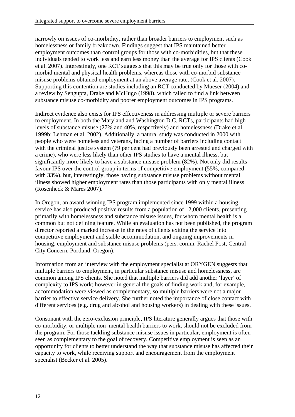narrowly on issues of co-morbidity, rather than broader barriers to employment such as homelessness or family breakdown. Findings suggest that IPS maintained better employment outcomes than control groups for those with co-morbidities, but that these individuals tended to work less and earn less money than the average for IPS clients (Cook et al. 2007). Interestingly, one RCT suggests that this may be true only for those with comorbid mental and physical health problems, whereas those with co-morbid substance misuse problems obtained employment at an above average rate, (Cook et al. 2007). Supporting this contention are studies including an RCT conducted by Mueser (2004) and a review by Sengupta, Drake and McHugo (1998), which failed to find a link between substance misuse co-morbidity and poorer employment outcomes in IPS programs.

Indirect evidence also exists for IPS effectiveness in addressing multiple or severe barriers to employment. In both the Maryland and Washington D.C. RCTs, participants had high levels of substance misuse (27% and 40%, respectively) and homelessness (Drake et al. 1999b; Lehman et al. 2002). Additionally, a natural study was conducted in 2000 with people who were homeless and veterans, facing a number of barriers including contact with the criminal justice system (79 per cent had previously been arrested and charged with a crime), who were less likely than other IPS studies to have a mental illness, but significantly more likely to have a substance misuse problem (82%). Not only did results favour IPS over the control group in terms of competitive employment (55%, compared with 33%), but, interestingly, those having substance misuse problems without mental illness showed higher employment rates than those participants with only mental illness (Rosenheck & Mares 2007).

In Oregon, an award-winning IPS program implemented since 1999 within a housing service has also produced positive results from a population of 12,000 clients, presenting primarily with homelessness and substance misuse issues, for whom mental health is a common but not defining feature. While an evaluation has not been published, the program director reported a marked increase in the rates of clients exiting the service into competitive employment and stable accommodation, and ongoing improvements in housing, employment and substance misuse problems (pers. comm. Rachel Post, Central City Concern, Portland, Oregon).

Information from an interview with the employment specialist at ORYGEN suggests that multiple barriers to employment, in particular substance misuse and homelessness, are common among IPS clients. She noted that multiple barriers did add another 'layer' of complexity to IPS work; however in general the goals of finding work and, for example, accommodation were viewed as complementary, so multiple barriers were not a major barrier to effective service delivery. She further noted the importance of close contact with different services (e.g. drug and alcohol and housing workers) in dealing with these issues.

Consonant with the zero-exclusion principle, IPS literature generally argues that those with co-morbidity, or multiple non–mental health barriers to work, should not be excluded from the program. For those tackling substance misuse issues in particular, employment is often seen as complementary to the goal of recovery. Competitive employment is seen as an opportunity for clients to better understand the way that substance misuse has affected their capacity to work, while receiving support and encouragement from the employment specialist (Becker et al. 2005).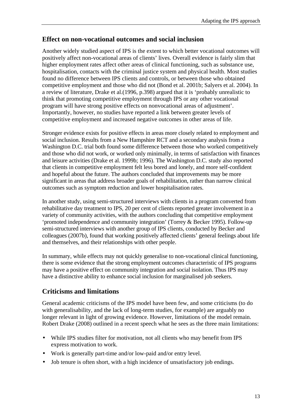### **Effect on non-vocational outcomes and social inclusion**

Another widely studied aspect of IPS is the extent to which better vocational outcomes will positively affect non-vocational areas of clients' lives. Overall evidence is fairly slim that higher employment rates affect other areas of clinical functioning, such as substance use, hospitalisation, contacts with the criminal justice system and physical health. Most studies found no difference between IPS clients and controls, or between those who obtained competitive employment and those who did not (Bond et al. 2001b; Salyers et al. 2004). In a review of literature, Drake et al.(1996, p.398) argued that it is 'probably unrealistic to think that promoting competitive employment through IPS or any other vocational program will have strong positive effects on nonvocational areas of adjustment'. Importantly, however, no studies have reported a link between greater levels of competitive employment and increased negative outcomes in other areas of life.

Stronger evidence exists for positive effects in areas more closely related to employment and social inclusion. Results from a New Hampshire RCT and a secondary analysis from a Washington D.C. trial both found some difference between those who worked competitively and those who did not work, or worked only minimally, in terms of satisfaction with finances and leisure activities (Drake et al. 1999b; 1996). The Washington D.C. study also reported that clients in competitive employment felt less bored and lonely, and more self-confident and hopeful about the future. The authors concluded that improvements may be more significant in areas that address broader goals of rehabilitation, rather than narrow clinical outcomes such as symptom reduction and lower hospitalisation rates.

In another study, using semi-structured interviews with clients in a program converted from rehabilitative day treatment to IPS, 20 per cent of clients reported greater involvement in a variety of community activities, with the authors concluding that competitive employment 'promoted independence and community integration' (Torrey & Becker 1995). Follow-up semi-structured interviews with another group of IPS clients, conducted by Becker and colleagues (2007b), found that working positively affected clients' general feelings about life and themselves, and their relationships with other people.

In summary, while effects may not quickly generalise to non-vocational clinical functioning, there is some evidence that the strong employment outcomes characteristic of IPS programs may have a positive effect on community integration and social isolation. Thus IPS may have a distinctive ability to enhance social inclusion for marginalised job seekers.

### **Criticisms and limitations**

General academic criticisms of the IPS model have been few, and some criticisms (to do with generalisability, and the lack of long-term studies, for example) are arguably no longer relevant in light of growing evidence. However, limitations of the model remain. Robert Drake (2008) outlined in a recent speech what he sees as the three main limitations:

- While IPS studies filter for motivation, not all clients who may benefit from IPS express motivation to work.
- Work is generally part-time and/or low-paid and/or entry level.
- Job tenure is often short, with a high incidence of unsatisfactory job endings.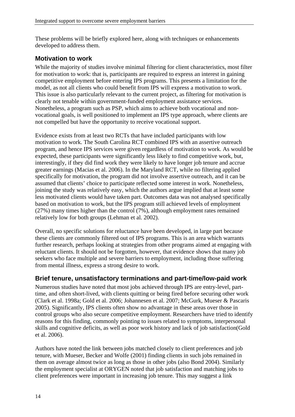These problems will be briefly explored here, along with techniques or enhancements developed to address them.

### **Motivation to work**

While the majority of studies involve minimal filtering for client characteristics, most filter for motivation to work: that is, participants are required to express an interest in gaining competitive employment before entering IPS programs. This presents a limitation for the model, as not all clients who could benefit from IPS will express a motivation to work. This issue is also particularly relevant to the current project, as filtering for motivation is clearly not tenable within government-funded employment assistance services. Nonetheless, a program such as PSP, which aims to achieve both vocational and nonvocational goals, is well positioned to implement an IPS type approach, where clients are not compelled but have the opportunity to receive vocational support.

Evidence exists from at least two RCTs that have included participants with low motivation to work. The South Carolina RCT combined IPS with an assertive outreach program, and hence IPS services were given regardless of motivation to work. As would be expected, these participants were significantly less likely to find competitive work, but, interestingly, if they did find work they were likely to have longer job tenure and accrue greater earnings (Macias et al. 2006). In the Maryland RCT, while no filtering applied specifically for motivation, the program did not involve assertive outreach, and it can be assumed that clients' choice to participate reflected some interest in work. Nonetheless, joining the study was relatively easy, which the authors argue implied that at least some less motivated clients would have taken part. Outcomes data was not analysed specifically based on motivation to work, but the IPS program still achieved levels of employment (27%) many times higher than the control (7%), although employment rates remained relatively low for both groups (Lehman et al. 2002).

Overall, no specific solutions for reluctance have been developed, in large part because these clients are commonly filtered out of IPS programs. This is an area which warrants further research, perhaps looking at strategies from other programs aimed at engaging with reluctant clients. It should not be forgotten, however, that evidence shows that many job seekers who face multiple and severe barriers to employment, including those suffering from mental illness, express a strong desire to work.

#### **Brief tenure, unsatisfactory terminations and part-time/low-paid work**

Numerous studies have noted that most jobs achieved through IPS are entry-level, parttime, and often short-lived, with clients quitting or being fired before securing other work (Clark et al. 1998a; Gold et al. 2006; Johannesen et al. 2007; McGurk, Mueser & Pascaris 2005). Significantly, IPS clients often show no advantage in these areas over those in control groups who also secure competitive employment. Researchers have tried to identify reasons for this finding, commonly pointing to issues related to symptoms, interpersonal skills and cognitive deficits, as well as poor work history and lack of job satisfaction(Gold et al. 2006).

Authors have noted the link between jobs matched closely to client preferences and job tenure, with Mueser, Becker and Wolfe (2001) finding clients in such jobs remained in them on average almost twice as long as those in other jobs (also Bond 2004). Similarly the employment specialist at ORYGEN noted that job satisfaction and matching jobs to client preferences were important in increasing job tenure. This may suggest a link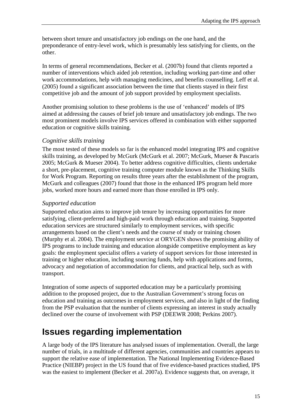between short tenure and unsatisfactory job endings on the one hand, and the preponderance of entry-level work, which is presumably less satisfying for clients, on the other.

In terms of general recommendations, Becker et al. (2007b) found that clients reported a number of interventions which aided job retention, including working part-time and other work accommodations, help with managing medicines, and benefits counselling. Leff et al. (2005) found a significant association between the time that clients stayed in their first competitive job and the amount of job support provided by employment specialists.

Another promising solution to these problems is the use of 'enhanced' models of IPS aimed at addressing the causes of brief job tenure and unsatisfactory job endings. The two most prominent models involve IPS services offered in combination with either supported education or cognitive skills training.

#### *Cognitive skills training*

The most tested of these models so far is the enhanced model integrating IPS and cognitive skills training, as developed by McGurk (McGurk et al. 2007; McGurk, Mueser & Pascaris 2005; McGurk & Mueser 2004). To better address cognitive difficulties, clients undertake a short, pre-placement, cognitive training computer module known as the Thinking Skills for Work Program. Reporting on results three years after the establishment of the program, McGurk and colleagues (2007) found that those in the enhanced IPS program held more jobs, worked more hours and earned more than those enrolled in IPS only.

#### *Supported education*

Supported education aims to improve job tenure by increasing opportunities for more satisfying, client-preferred and high-paid work through education and training. Supported education services are structured similarly to employment services, with specific arrangements based on the client's needs and the course of study or training chosen (Murphy et al. 2004). The employment service at ORYGEN shows the promising ability of IPS programs to include training and education alongside competitive employment as key goals: the employment specialist offers a variety of support services for those interested in training or higher education, including sourcing funds, help with applications and forms, advocacy and negotiation of accommodation for clients, and practical help, such as with transport.

Integration of some aspects of supported education may be a particularly promising addition to the proposed project, due to the Australian Government's strong focus on education and training as outcomes in employment services, and also in light of the finding from the PSP evaluation that the number of clients expressing an interest in study actually declined over the course of involvement with PSP (DEEWR 2008; Perkins 2007).

# **Issues regarding implementation**

A large body of the IPS literature has analysed issues of implementation. Overall, the large number of trials, in a multitude of different agencies, communities and countries appears to support the relative ease of implementation. The National Implementing Evidence-Based Practice (NIEBP) project in the US found that of five evidence-based practices studied, IPS was the easiest to implement (Becker et al. 2007a). Evidence suggests that, on average, it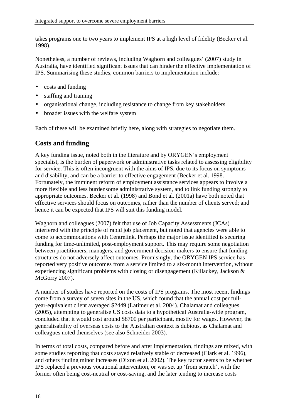takes programs one to two years to implement IPS at a high level of fidelity (Becker et al. 1998).

Nonetheless, a number of reviews, including Waghorn and colleagues' (2007) study in Australia, have identified significant issues that can hinder the effective implementation of IPS. Summarising these studies, common barriers to implementation include:

- costs and funding
- staffing and training
- organisational change, including resistance to change from key stakeholders
- broader issues with the welfare system

Each of these will be examined briefly here, along with strategies to negotiate them.

### **Costs and funding**

A key funding issue, noted both in the literature and by ORYGEN's employment specialist, is the burden of paperwork or administrative tasks related to assessing eligibility for service. This is often incongruent with the aims of IPS, due to its focus on symptoms and disability, and can be a barrier to effective engagement (Becker et al. 1998. Fortunately, the imminent reform of employment assistance services appears to involve a more flexible and less burdensome administrative system, and to link funding strongly to appropriate outcomes. Becker et al. (1998) and Bond et al. (2001a) have both noted that effective services should focus on outcomes, rather than the number of clients served; and hence it can be expected that IPS will suit this funding model.

Waghorn and colleagues (2007) felt that use of Job Capacity Assessments (JCAs) interfered with the principle of rapid job placement, but noted that agencies were able to come to accommodations with Centrelink. Perhaps the major issue identified is securing funding for time-unlimited, post-employment support. This may require some negotiation between practitioners, managers, and government decision-makers to ensure that funding structures do not adversely affect outcomes. Promisingly, the ORYGEN IPS service has reported very positive outcomes from a service limited to a six-month intervention, without experiencing significant problems with closing or disengagement (Killackey, Jackson & McGorry 2007).

A number of studies have reported on the costs of IPS programs. The most recent findings come from a survey of seven sites in the US, which found that the annual cost per fullyear-equivalent client averaged \$2449 (Latimer et al. 2004). Chalamat and colleagues (2005), attempting to generalise US costs data to a hypothetical Australia-wide program, concluded that it would cost around \$8700 per participant, mostly for wages. However, the generalisability of overseas costs to the Australian context is dubious, as Chalamat and colleagues noted themselves (see also Schneider 2003).

In terms of total costs, compared before and after implementation, findings are mixed, with some studies reporting that costs stayed relatively stable or decreased (Clark et al. 1996), and others finding minor increases (Dixon et al. 2002). The key factor seems to be whether IPS replaced a previous vocational intervention, or was set up 'from scratch', with the former often being cost-neutral or cost-saving, and the later tending to increase costs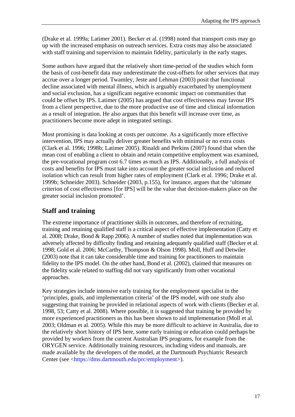(Drake et al. 1999a; Latimer 2001). Becker et al. (1998) noted that transport costs may go up with the increased emphasis on outreach services. Extra costs may also be associated with staff training and supervision to maintain fidelity, particularly in the early stages.

Some authors have argued that the relatively short time-period of the studies which form the basis of cost-benefit data may underestimate the cost-offsets for other services that may accrue over a longer period. Twamley, Jeste and Lehman (2003) posit that functional decline associated with mental illness, which is arguably exacerbated by unemployment and social exclusion, has a significant negative economic impact on communities that could be offset by IPS. Latimer (2005) has argued that cost effectiveness may favour IPS from a client perspective, due to the more productive use of time and clinical information as a result of integration. He also argues that this benefit will increase over time, as practitioners become more adept in integrated settings.

Most promising is data looking at costs per outcome. As a significantly more effective intervention, IPS may actually deliver greater benefits with minimal or no extra costs (Clark et al. 1996; 1998b; Latimer 2005). Rinaldi and Perkins (2007) found that when the mean cost of enabling a client to obtain and retain competitive employment was examined, the pre-vocational program cost 6.7 times as much as IPS. Additionally, a full analysis of costs and benefits for IPS must take into account the greater social inclusion and reduced isolation which can result from higher rates of employment (Clark et al. 1996; Drake et al. 1999b; Schneider 2003). Schneider (2003, p.155), for instance, argues that the 'ultimate criterion of cost effectiveness [for IPS] will be the value that decision-makers place on the greater social inclusion promoted'.

## **Staff and training**

The extreme importance of practitioner skills in outcomes, and therefore of recruiting, training and retaining qualified staff is a critical aspect of effective implementation (Catty et al. 2008; Drake, Bond & Rapp 2006). A number of studies noted that implementation was adversely affected by difficulty finding and retaining adequately qualified staff (Becker et al. 1998; Gold et al. 2006; McCarthy, Thompson & Olson 1998). Moll, Huff and Detwiler (2003) note that it can take considerable time and training for practitioners to maintain fidelity to the IPS model. On the other hand, Bond et al. (2002), claimed that measures on the fidelity scale related to staffing did not vary significantly from other vocational approaches.

Key strategies include intensive early training for the employment specialist in the 'principles, goals, and implementation criteria' of the IPS model, with one study also suggesting that training be provided in relational aspects of work with clients (Becker et al. 1998, 53; Catty et al. 2008). Where possible, it is suggested that training be provided by more experienced practitioners as this has been shown to aid implementation (Moll et al. 2003; Oldman et al. 2005). While this may be more difficult to achieve in Australia, due to the relatively short history of IPS here, some early training or education could perhaps be provided by workers from the current Australian IPS programs, for example from the ORYGEN service. Additionally training resources, including videos and manuals, are made available by the developers of the model, at the Dartmouth Psychiatric Research Center (see <https://dms.dartmouth.edu/prc/employment>).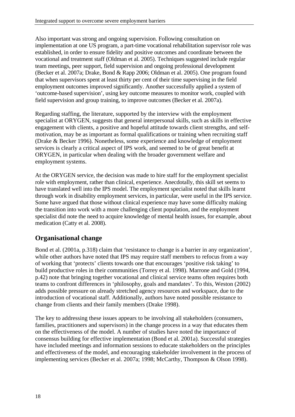Also important was strong and ongoing supervision. Following consultation on implementation at one US program, a part-time vocational rehabilitation supervisor role was established, in order to ensure fidelity and positive outcomes and coordinate between the vocational and treatment staff (Oldman et al. 2005). Techniques suggested include regular team meetings, peer support, field supervision and ongoing professional development (Becker et al. 2007a; Drake, Bond & Rapp 2006; Oldman et al. 2005). One program found that when supervisors spent at least thirty per cent of their time supervising in the field employment outcomes improved significantly. Another successfully applied a system of 'outcome-based supervision', using key outcome measures to monitor work, coupled with field supervision and group training, to improve outcomes (Becker et al. 2007a).

Regarding staffing, the literature, supported by the interview with the employment specialist at ORYGEN, suggests that general interpersonal skills, such as skills in effective engagement with clients, a positive and hopeful attitude towards client strengths, and selfmotivation, may be as important as formal qualifications or training when recruiting staff (Drake & Becker 1996). Nonetheless, some experience and knowledge of employment services is clearly a critical aspect of IPS work, and seemed to be of great benefit at ORYGEN, in particular when dealing with the broader government welfare and employment systems.

At the ORYGEN service, the decision was made to hire staff for the employment specialist role with employment, rather than clinical, experience. Anecdotally, this skill set seems to have translated well into the IPS model. The employment specialist noted that skills learnt through work in disability employment services, in particular, were useful in the IPS service. Some have argued that those without clinical experience may have some difficulty making the transition into work with a more challenging client population, and the employment specialist did note the need to acquire knowledge of mental health issues, for example, about medication (Catty et al. 2008).

# **Organisational change**

Bond et al. (2001a, p.318) claim that 'resistance to change is a barrier in any organization', while other authors have noted that IPS may require staff members to refocus from a way of working that 'protects' clients towards one that encourages 'positive risk taking' to build productive roles in their communities (Torrey et al. 1998). Marrone and Gold (1994, p.42) note that bringing together vocational and clinical service teams often requires both teams to confront differences in 'philosophy, goals and mandates'. To this, Weston (2002) adds possible pressure on already stretched agency resources and workspace, due to the introduction of vocational staff. Additionally, authors have noted possible resistance to change from clients and their family members (Drake 1998).

The key to addressing these issues appears to be involving all stakeholders (consumers, families, practitioners and supervisors) in the change process in a way that educates them on the effectiveness of the model. A number of studies have noted the importance of consensus building for effective implementation (Bond et al. 2001a). Successful strategies have included meetings and information sessions to educate stakeholders on the principles and effectiveness of the model, and encouraging stakeholder involvement in the process of implementing services (Becker et al. 2007a; 1998; McCarthy, Thompson & Olson 1998).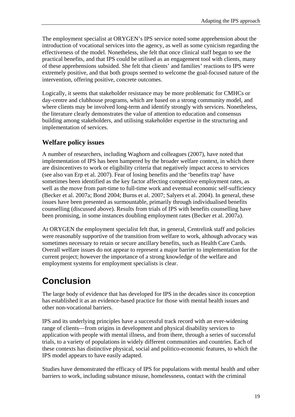The employment specialist at ORYGEN's IPS service noted some apprehension about the introduction of vocational services into the agency, as well as some cynicism regarding the effectiveness of the model. Nonetheless, she felt that once clinical staff began to see the practical benefits, and that IPS could be utilised as an engagement tool with clients, many of these apprehensions subsided. She felt that clients' and families' reactions to IPS were extremely positive, and that both groups seemed to welcome the goal-focused nature of the intervention, offering positive, concrete outcomes.

Logically, it seems that stakeholder resistance may be more problematic for CMHCs or day-centre and clubhouse programs, which are based on a strong community model, and where clients may be involved long-term and identify strongly with services. Nonetheless, the literature clearly demonstrates the value of attention to education and consensus building among stakeholders, and utilising stakeholder expertise in the structuring and implementation of services.

### **Welfare policy issues**

A number of researchers, including Waghorn and colleagues (2007), have noted that implementation of IPS has been hampered by the broader welfare context, in which there are disincentives to work or eligibility criteria that negatively impact access to services (see also van Erp et al. 2007). Fear of losing benefits and the 'benefits trap' have sometimes been identified as the key factor affecting competitive employment rates, as well as the move from part-time to full-time work and eventual economic self-sufficiency (Becker et al. 2007a; Bond 2004; Burns et al. 2007; Salyers et al. 2004). In general, these issues have been presented as surmountable, primarily through individualised benefits counselling (discussed above). Results from trials of IPS with benefits counselling have been promising, in some instances doubling employment rates (Becker et al. 2007a).

At ORYGEN the employment specialist felt that, in general, Centrelink staff and policies were reasonably supportive of the transition from welfare to work, although advocacy was sometimes necessary to retain or secure ancillary benefits, such as Health Care Cards. Overall welfare issues do not appear to represent a major barrier to implementation for the current project; however the importance of a strong knowledge of the welfare and employment systems for employment specialists is clear.

# **Conclusion**

The large body of evidence that has developed for IPS in the decades since its conception has established it as an evidence-based practice for those with mental health issues and other non-vocational barriers.

IPS and its underlying principles have a successful track record with an ever-widening range of clients—from origins in development and physical disability services to application with people with mental illness, and from there, through a series of successful trials, to a variety of populations in widely different communities and countries. Each of these contexts has distinctive physical, social and politico-economic features, to which the IPS model appears to have easily adapted.

Studies have demonstrated the efficacy of IPS for populations with mental health and other barriers to work, including substance misuse, homelessness, contact with the criminal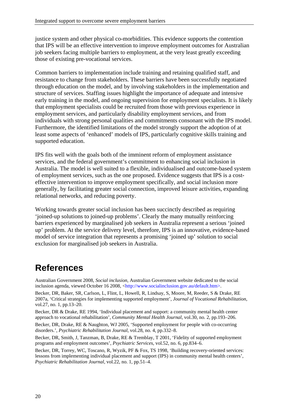justice system and other physical co-morbidities. This evidence supports the contention that IPS will be an effective intervention to improve employment outcomes for Australian job seekers facing multiple barriers to employment, at the very least greatly exceeding those of existing pre-vocational services.

Common barriers to implementation include training and retaining qualified staff, and resistance to change from stakeholders. These barriers have been successfully negotiated through education on the model, and by involving stakeholders in the implementation and structure of services. Staffing issues highlight the importance of adequate and intensive early training in the model, and ongoing supervision for employment specialists. It is likely that employment specialists could be recruited from those with previous experience in employment services, and particularly disability employment services, and from individuals with strong personal qualities and commitments consonant with the IPS model. Furthermore, the identified limitations of the model strongly support the adoption of at least some aspects of 'enhanced' models of IPS, particularly cognitive skills training and supported education.

IPS fits well with the goals both of the imminent reform of employment assistance services, and the federal government's commitment to enhancing social inclusion in Australia. The model is well suited to a flexible, individualised and outcome-based system of employment services, such as the one proposed. Evidence suggests that IPS is a costeffective intervention to improve employment specifically, and social inclusion more generally, by facilitating greater social connection, improved leisure activities, expanding relational networks, and reducing poverty.

Working towards greater social inclusion has been succinctly described as requiring 'joined-up solutions to joined-up problems'. Clearly the many mutually reinforcing barriers experienced by marginalised job seekers in Australia represent a serious 'joined up' problem. At the service delivery level, therefore, IPS is an innovative, evidence-based model of service integration that represents a promising 'joined up' solution to social exclusion for marginalised job seekers in Australia.

# **References**

Australian Government 2008, *Social inclusion*, Australian Government website dedicated to the social inclusion agenda, viewed October 16 2008, <http://www.socialinclusion.gov.au/default.htm>.

Becker, DR, Baker, SR, Carlson, L, Flint, L, Howell, R, Lindsay, S, Moore, M, Reeder, S & Drake, RE 2007a, 'Critical strategies for implementing supported employment', *Journal of Vocational Rehabilitation*, vol.27, no. 1, pp.13–20.

Becker, DR & Drake, RE 1994, 'Individual placement and support: a community mental health center approach to vocational rehabilitation', *Community Mental Health Journal*, vol.30, no. 2, pp.193–206.

Becker, DR, Drake, RE & Naughton, WJ 2005, 'Supported employment for people with co-occurring disorders.', *Psychiatric Rehabilitation Journal*, vol.28, no. 4, pp.332–8.

Becker, DR, Smith, J, Tanzman, B, Drake, RE & Tremblay, T 2001, 'Fidelity of supported employment programs and employment outcomes', *Psychiatric Services*, vol.52, no. 6, pp.834–6.

Becker, DR, Torrey, WC, Toscano, R, Wyzik, PF & Fox, TS 1998, 'Building recovery-oriented services: lessons from implementing individual placement and support (IPS) in community mental health centers', *Psychiatric Rehabilitation Journal*, vol.22, no. 1, pp.51–4.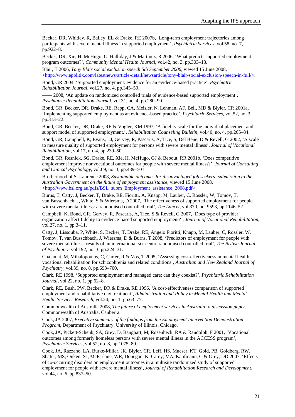Becker, DR, Whitley, R, Bailey, EL & Drake, RE 2007b, 'Long-term employment trajectories among participants with severe mental illness in supported employment', *Psychiatric Services*, vol.58, no. 7, pp.922–8.

Becker, DR, Xie, H, McHugo, G, Halliday, J & Martinez, R 2006, 'What predicts supported employment program outcomes?', *Community Mental Health Journal*, vol.42, no. 3, pp.303–13.

Blair, T 2006, *Tony Blair social exclusion speech 5th September 2006*, viewed 15 June 2008,  $\langle$ http://www.epolitix.com/latestnews/article-detail/newsarticle/tony-blair-social-exclusion-speech-in-full/>.

Bond, GR 2004, 'Supported employment: evidence for an evidence-based practice', *Psychiatric Rehabilitation Journal*, vol.27, no. 4, pp.345–59.

- 2008, 'An update on randomized controlled trials of evidence-based supported employment', *Psychiatric Rehabilitation Journal*, vol.31, no. 4, pp.280–90.

Bond, GR, Becker, DR, Drake, RE, Rapp, CA, Meisler, N, Lehman, AF, Bell, MD & Blyler, CR 2001a, 'Implementing supported employment as an evidence-based practice', *Psychiatric Services*, vol.52, no. 3, pp.313–22.

Bond, GR, Becker, DR, Drake, RE & Vogler, KM 1997, 'A fidelity scale for the individual placement and support model of supported employment.', *Rehabilitation Counseling Bulletin*, vol.40, no. 4, pp.265–84.

Bond, GR, Campbell, K, Evans, LJ, Gervey, R, Pascaris, A, Tice, S, Del Bene, D & Revell, G 2002, 'A scale to measure quality of supported employment for persons with severe mental illness', *Journal of Vocational Rehabilitation*, vol.17, no. 4, pp.239–50.

Bond, GR, Resnick, SG, Drake, RE, Xie, H, McHugo, GJ & Bebout, RR 2001b, 'Does competitive employment improve nonvocational outcomes for people with severe mental illness?', *Journal of Consulting and Clinical Psychology*, vol.69, no. 3, pp.489–501.

Brotherhood of St Laurence 2008, *Sustainable outcomes for disadvantaged job seekers: submission to the Australian Government on the future of employment assistance*, viewed 15 June 2008, <http://www.bsl.org.au/pdfs/BSL\_subm\_Employment\_assistance\_2008.pdf>.

Burns, T, Catty, J, Becker, T, Drake, RE, Fioritti, A, Knapp, M, Lauber, C, Rössler, W, Tomov, T, van Busschbach, J, White, S & Wiersma, D 2007, 'The effectiveness of supported employment for people with severe mental illness: a randomised controlled trial', *The Lancet*, vol.370, no. 9593, pp.1146–52.

Campbell, K, Bond, GR, Gervey, R, Pascaris, A, Tice, S & Revell, G 2007, 'Does type of provider organization affect fidelity to evidence-based supported employment?', *Journal of Vocational Rehabilitation*, vol.27, no. 1, pp.3–11.

Catty, J, Lissouba, P, White, S, Becker, T, Drake, RE, Angelo Fioritti, Knapp, M, Lauber, C, Rössler, W, Tomov, T, van Busschbach, J, Wiersma, D & Burns, T 2008, 'Predictors of employment for people with severe mental illness: results of an international six-centre randomised controlled trial', *The British Journal of Psychiatry*, vol.192, no. 3, pp.224–31.

Chalamat, M, Mihalopoulos, C, Carter, R & Vos, T 2005, 'Assessing cost-effectiveness in mental health: vocational rehabilitation for schizophrenia and related conditions', *Australian and New Zealand Journal of Psychiatry*, vol.39, no. 8, pp.693–700.

Clark, RE 1998, 'Supported employment and managed care: can they coexist?', *Psychiatric Rehabilitation Journal*, vol.22, no. 1, pp.62–8.

Clark, RE, Bush, PW, Becker, DR & Drake, RE 1996, 'A cost-effectiveness comparison of supported employment and rehabilitative day treatment', *Administration and Policy in Mental Health and Mental Health Services Research*, vol.24, no. 1, pp.63–77.

Commonwealth of Australia 2008, *The future of employment services in Australia: a discussion paper*, Commonwealth of Australia, Canberra.

Cook, JA 2007, *Executive summary of the findings from the Employment Intervention Demonstration Program*, Department of Psychiatry, University of Illinois, Chicago.

Cook, JA, Pickett-Schenk, SA, Grey, D, Banghart, M, Rosenheck, RA & Randolph, F 2001, 'Vocational outcomes among formerly homeless persons with severe mental illness in the ACCESS program', *Psychiatric Services*, vol.52, no. 8, pp.1075–80.

Cook, JA, Razzano, LA, Burke-Miller, JK, Blyler, CR, Leff, HS, Mueser, KT, Gold, PB, Goldberg, RW, Shafer, MS, Onken, SJ, McFarlane, WR, Donegan, K, Carey, MA, Kaufmann, C & Grey, DD 2007, 'Effects of co-occurring disorders on employment outcomes in a multisite randomized study of supported employment for people with severe mental illness', *Journal of Rehabilitation Research and Development*, vol.44, no. 6, pp.837–50.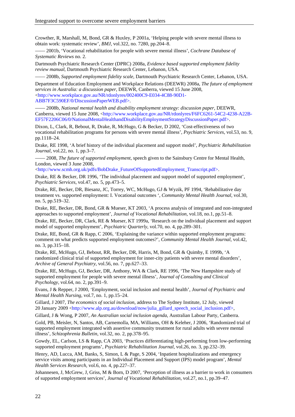Crowther, R, Marshall, M, Bond, GR & Huxley, P 2001a, 'Helping people with severe mental illness to obtain work: systematic review', *BMJ*, vol.322, no. 7280, pp.204–8.

—— 2001b, 'Vocational rehabilitation for people with severe mental illness', *Cochrane Database of Systematic Reviews* no. 2.

Dartmouth Psychiatric Research Center (DPRC) 2008a, *Evidence based supported employment fidelity review manual*, Dartmouth Psychiatric Research Center, Lebanon, USA.

—— 2008b, *Supported employment fidelity scale*, Dartmouth Psychiatric Research Center, Lebanon, USA. Department of Education Employment and Workplace Relations (DEEWR) 2008a, *The future of employment services in Australia: a discussion paper*, DEEWR, Canberra, viewed 15 June 2008, <http://www.workplace.gov.au/NR/rdonlyres/002400C9-E034-4C88-90D1- ABB7F3C590EF/0/DiscussionPaperWEB.pdf>.

—— 2008b, *National mental health and disability employment strategy: discussion paper*, DEEWR, Canberra, viewed 15 June 2008, <http://www.workplace.gov.au/NR/rdonlyres/F6FC6261-54C2-4238-A22B-EF57F2206C06/0/NationalMentalHealthandDisabilityEmploymentStrategyDiscussionPaper.pdf>.

Dixon, L, Clark, R, Bebout, R, Drake, R, McHugo, G & Becker, D 2002, 'Cost-effectiveness of two vocational rehabilitation programs for persons with severe mental illness', *Psychiatric Services*, vol.53, no. 9, pp.1118–24.

Drake, RE 1998, 'A brief history of the individual placement and support model', *Psychiatric Rehabilitation Journal*, vol.22, no. 1, pp.3–7.

—— 2008, *The future of supported employment*, speech given to the Sainsbury Centre for Mental Health, London, viewed 3 June 2008,

<http://www.scmh.org.uk/pdfs/BobDrake\_FutureOfSupportedEmployment\_Transcript.pdf>.

Drake, RE & Becker, DR 1996, 'The individual placement and support model of supported employment', *Psychiatric Services*, vol.47, no. 5, pp.473–5.

Drake, RE, Becker, DR, Biesanz, JC, Torrey, WC, McHugo, GJ & Wyzik, PF 1994, 'Rehabilitative day treatment vs. supported employment: I. Vocational outcomes ', *Community Mental Health Journal*, vol.30, no. 5, pp.519–32.

Drake, RE, Becker, DR, Bond, GR & Mueser, KT 2003, 'A process analysis of integrated and non-integrated approaches to supported employment', *Journal of Vocational Rehabilitation*, vol.18, no.1, pp.51–8.

Drake, RE, Becker, DR, Clark, RE & Mueser, KT 1999a, 'Research on the individual placement and support model of supported employment', *Psychiatric Quarterly*, vol.70, no. 4, pp.289–301.

Drake, RE, Bond, GR & Rapp, C 2006, 'Explaining the variance within supported employment programs: comment on what predicts supported employment outcomes?', *Community Mental Health Journal*, vol.42, no. 3, pp.315–18.

Drake, RE, McHugo, GJ, Bebout, RR, Becker, DR, Harris, M, Bond, GR & Quimby, E 1999b, 'A randomized clinical trial of supported employment for inner-city patients with severe mental disorders', *Archive of General Psychiatry*, vol.56, no. 7, pp.627–33.

Drake, RE, McHugo, GJ, Becker, DR, Anthony, WA & Clark, RE 1996, 'The New Hampshire study of supported employment for people with severe mental illness', *Journal of Consulting and Clinical Psychology*, vol.64, no. 2, pp.391–9.

Evans, J & Repper, J 2000, 'Employment, social inclusion and mental health', *Journal of Psychiatric and Mental Health Nursing*, vol.7, no. 1, pp.15–24.

Gillard, J 2007, *The economics of social inclusion*, address to The Sydney Institute, 12 July, viewed 20 January 2009 <http://www.alp.org.au/download/now/julia\_gillard\_speech\_social\_inclusion.pdf>,

Gillard, J & Wong, P 2007, *An Australian social inclusion agenda*, Australian Labour Party, Canberra.

Gold, PB, Meisler, N, Santos, AB, Carnemolla, MA, Williams, OH & Keleher, J 2006, 'Randomized trial of supported employment integrated with assertive community treatment for rural adults with severe mental illness', *Schizophrenia Bulletin*, vol.32, no. 2, pp.378–95.

Gowdy, EL, Carlson, LS & Rapp, CA 2003, 'Practices differentiating high-performing from low-performing supported employment programs', *Psychiatric Rehabilitation Journal*, vol.26, no. 3, pp.232–39.

Henry, AD, Lucca, AM, Banks, S, Simon, L & Page, S 2004, 'Inpatient hospitalizations and emergency service visits among participants in an Individual Placement and Support (IPS) model program', *Mental Health Services Research*, vol.6, no. 4, pp.227–37.

Johannesen, J, McGrew, J, Griss, M & Born, D 2007, 'Perception of illness as a barrier to work in consumers of supported employment services', *Journal of Vocational Rehabilitation*, vol.27, no.1, pp.39–47.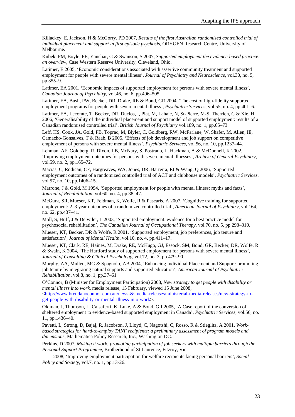Killackey, E, Jackson, H & McGorry, PD 2007, *Results of the first Australian randomised controlled trial of individual placement and support in first episode psychosis*, ORYGEN Research Centre, University of Melbourne.

Kubek, PM, Boyle, PE, Yanchar, G & Swanson, S 2007, *Supported employment the evidence-based practice: an overview*, Case Western Reserve University, Cleveland, Ohio.

Latimer, E 2005, 'Economic considerations associated with assertive community treatment and supported employment for people with severe mental illness', *Journal of Psychiatry and Neuroscience*, vol.30, no. 5, pp.355–9.

Latimer, EA 2001, 'Economic impacts of supported employment for persons with severe mental illness', *Canadian Journal of Psychiatry*, vol.46, no. 6, pp.496–505.

Latimer, EA, Bush, PW, Becker, DR, Drake, RE & Bond, GR 2004, 'The cost of high-fidelity supported employment programs for people with severe mental illness', *Psychiatric Services*, vol.55, no. 4, pp.401–6.

Latimer, EA, Lecomte, T, Becker, DR, Duclos, I, Piat, M, Lahaie, N, St-Pierre, M-S, Therrien, C & Xie, H 2006, 'Generalisability of the individual placement and support model of supported employment: results of a Canadian randomised controlled trial', *British Journal of Psychiatry* vol.189, no. 1, pp.65–73.

Leff, HS, Cook, JA, Gold, PB, Toprac, M, Blyler, C, Goldberg, RW, McFarlane, W, Shafer, M, Allen, IE, Camacho-Gonsalves, T & Raab, B 2005, 'Effects of job development and job support on competitive employment of persons with severe mental illness', *Psychiatric Services*, vol.56, no. 10, pp.1237–44.

Lehman, AF, Goldberg, R, Dixon, LB, McNary, S, Postrado, L, Hackman, A & McDonnell, K 2002, 'Improving employment outcomes for persons with severe mental illnesses', *Archive of General Psychiatry*, vol.59, no. 2, pp.165–72.

Macias, C, Rodican, CF, Hargreaves, WA, Jones, DR, Barreira, PJ & Wang, Q 2006, 'Supported employment outcomes of a randomized controlled trial of ACT and clubhouse models', *Psychiatric Services*, vol.57, no. 10, pp.1406–15.

Marrone, J & Gold, M 1994, 'Supported employment for people with mental illness: myths and facts', *Journal of Rehabilitation*, vol.60, no. 4, pp.38–47.

McGurk, SR, Mueser, KT, Feldman, K, Wolfe, R & Pascaris, A 2007, 'Cognitive training for supported employment: 2–3 year outcomes of a randomized controlled trial', *American Journal of Psychiatry*, vol.164, no. 62, pp.437–41.

Moll, S, Huff, J & Detwiler, L 2003, 'Supported employment: evidence for a best practice model for psychosocial rehabilitation', *The Canadian Journal of Occupational Therapy*, vol.70, no. 5, pp.298–310.

Mueser, KT, Becker, DR & Wolfe, R 2001, 'Supported employment, job preferences, job tenure and satisfaction', *Journal of Mental Health*, vol.10, no. 4, pp.411–17.

Mueser, KT, Clark, RE, Haines, M, Drake, RE, McHugo, GJ, Essock, SM, Bond, GR, Becker, DR, Wolfe, R & Swain, K 2004, 'The Hartford study of supported employment for persons with severe mental illness', *Journal of Consulting & Clinical Psychology*, vol.72, no. 3, pp.479–90.

Murphy, AA, Mullen, MG & Spagnolo, AB 2004, 'Enhancing Individual Placement and Support: promoting job tenure by integrating natural supports and supported education', *American Journal of Psychiatric Rehabilitation*, vol.8, no. 1, pp.37–61

O'Connor, B (Minister for Employment Participation) 2008, *New strategy to get people with disability or mental illness into work*, media release, 15 February, viewed 15 June 2008,

 $\text{th}(t)$ ://www.brendanoconnor.com.au/news-&-media-releases/ministerial-media-releases/new-strategy-toget-people-with-disability-or-mental-illness-into-work>.

Oldman, J, Thomson, L, Calsaferri, K, Luke, A & Bond, GR 2005, 'A Case report of the conversion of sheltered employment to evidence-based supported employment in Canada', *Psychiatric Services*, vol.56, no. 11, pp.1436–40.

Pavetti, L, Strong, D, Bajaj, R, Jacobson, J, Lloyd, C, Nagotshi, C, Rosso, R & Stieglitz, A 2001, *Workbased strategies for hard-to-employ TANF recipients: a preliminary assessment of program models and dimensions*, Mathematica Policy Research, Inc., Washington DC.

Perkins, D 2007, *Making it work: promoting participation of job seekers with multiple barriers through the Personal Support Programme*, Brotherhood of St Laurence, Fitzroy, Vic.

—— 2008, 'Improving employment participation for welfare recipients facing personal barriers', *Social Policy and Society*, vol.7, no. 1, pp.13-26.